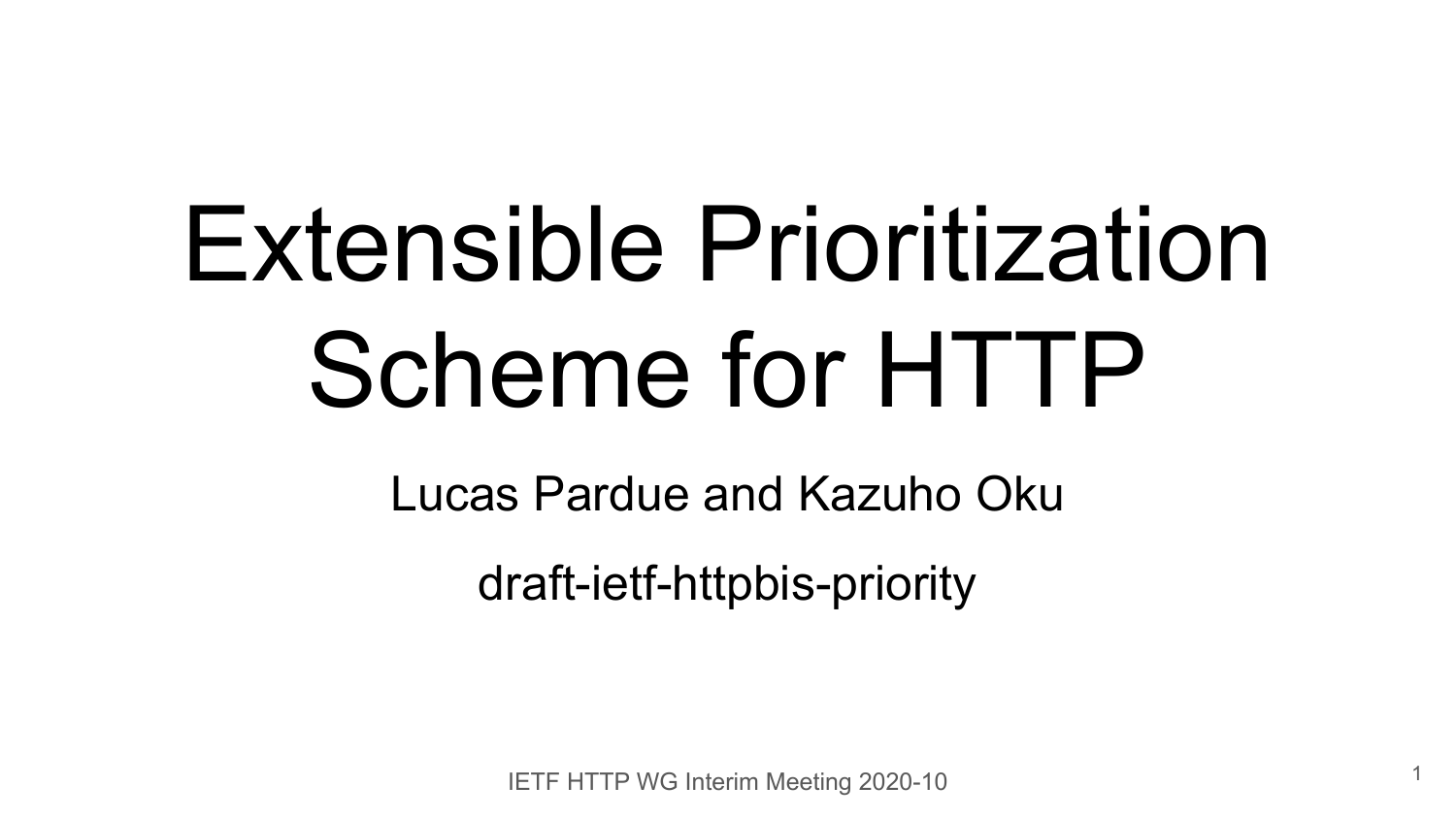# Extensible Prioritization Scheme for HTTP

Lucas Pardue and Kazuho Oku

draft-ietf-httpbis-priority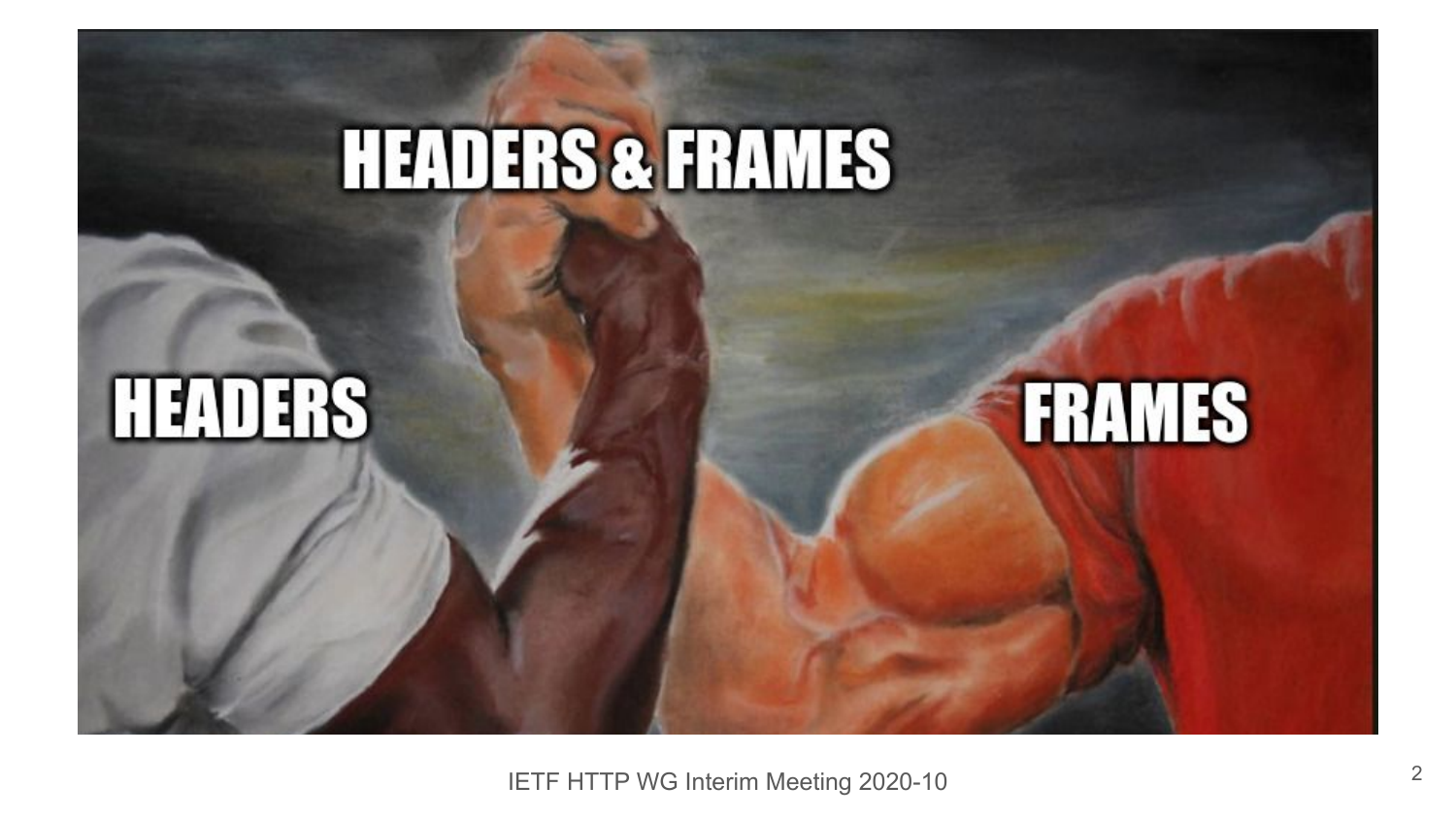## **HEADERS & FRAMES**

## **HEADERS**



IETF HTTP WG Interim Meeting 2020-10 <sup>2</sup>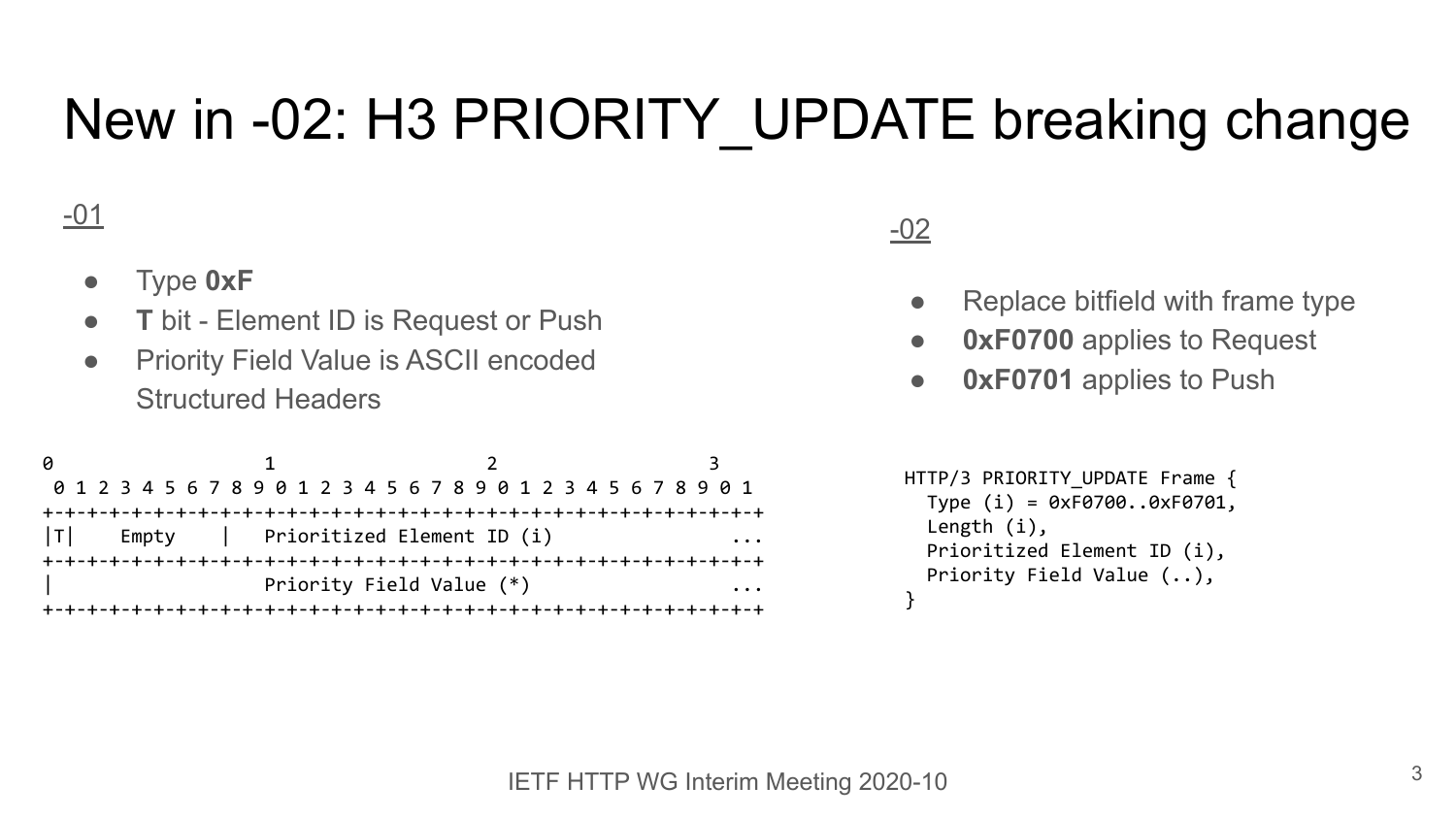#### New in -02: H3 PRIORITY UPDATE breaking change

#### $-01$

- Type **0xF**
- **T** bit Element ID is Request or Push
- Priority Field Value is ASCII encoded Structured Headers

0 1 2 3 0 1 2 3 4 5 6 7 8 9 0 1 2 3 4 5 6 7 8 9 0 1 2 3 4 5 6 7 8 9 0 1 +-+-+-+-+-+-+-+-+-+-+-+-+-+-+-+-+-+-+-+-+-+-+-+-+-+-+-+-+-+-+-+-+ |T| Empty | Prioritized Element ID (i) +-+-+-+-+-+-+-+-+-+-+-+-+-+-+-+-+-+-+-+-+-+-+-+-+-+-+-+-+-+-+-+-+ Priority Field Value (\*)  $\cdots$ +-+-+-+-+-+-+-+-+-+-+-+-+-+-+-+-+-+-+-+-+-+-+-+-+-+-+-+-+-+-+-+-+

#### -02

- Replace bitfield with frame type
- **0xF0700** applies to Request
- **0xF0701** applies to Push

```
HTTP/3 PRIORITY UPDATE Frame {
   Type (i) = 0xF0700..0xF0701,
   Length (i),
   Prioritized Element ID (i),
   Priority Field Value (..),
}
```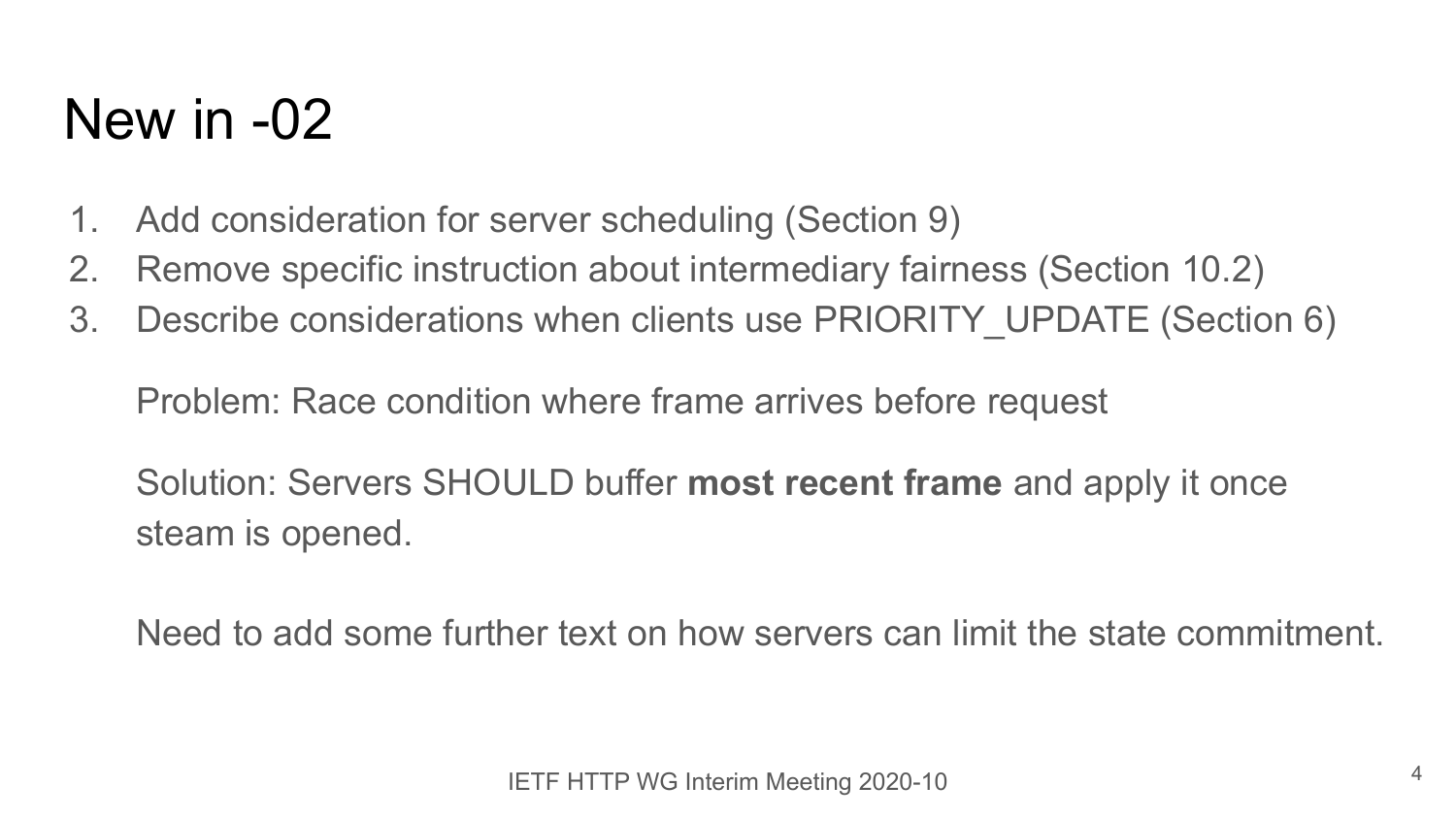#### New in -02

- 1. Add consideration for server scheduling (Section 9)
- 2. Remove specific instruction about intermediary fairness (Section 10.2)
- 3. Describe considerations when clients use PRIORITY UPDATE (Section 6)

Problem: Race condition where frame arrives before request

Solution: Servers SHOULD buffer **most recent frame** and apply it once steam is opened.

Need to add some further text on how servers can limit the state commitment.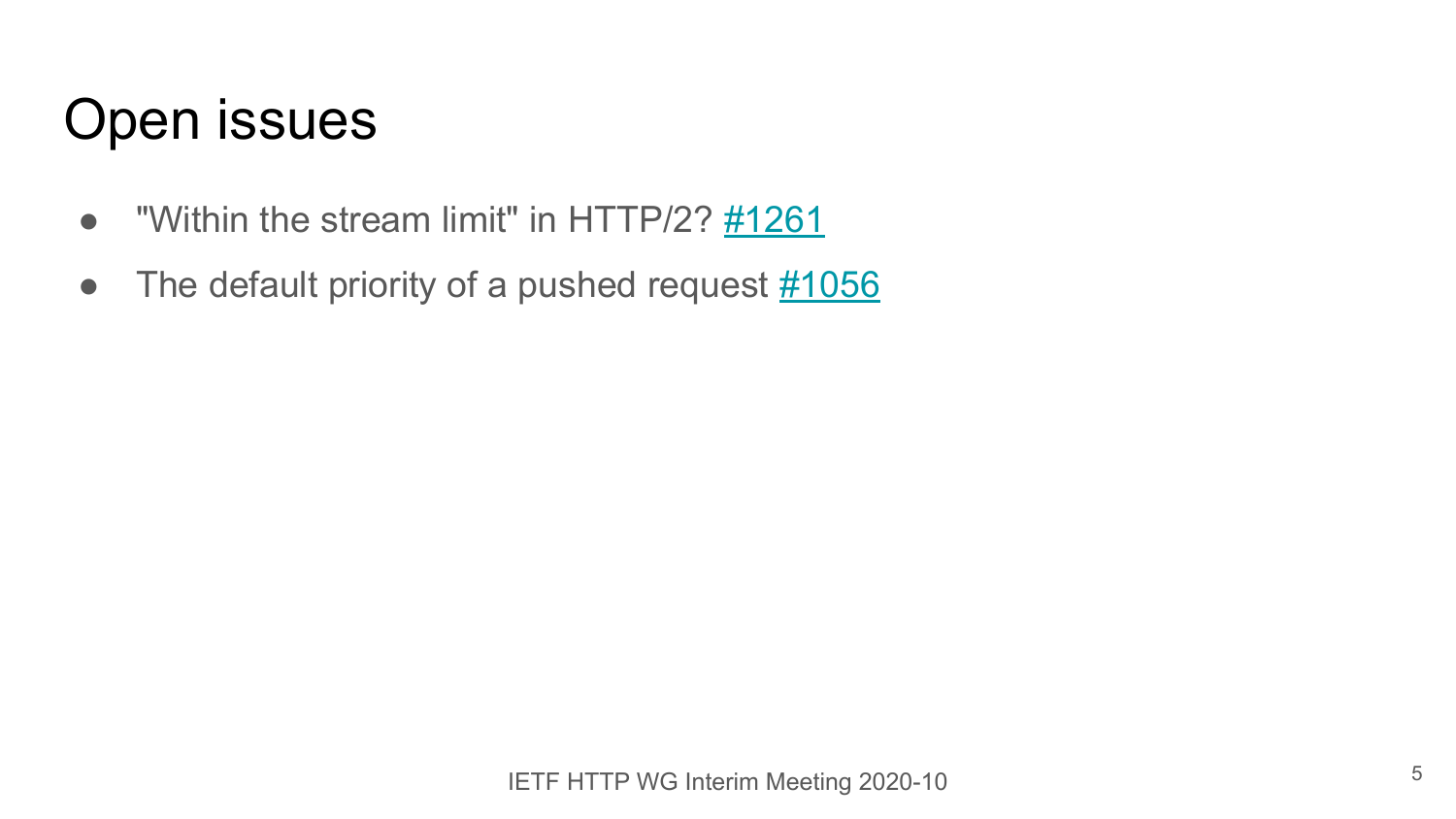#### Open issues

- $\bullet$  "Within the stream limit" in HTTP/2?  $\#1261$  $\#1261$
- $\bullet$  The default priority of a pushed request  $\frac{\text{#1056}}{\text{#1056}}$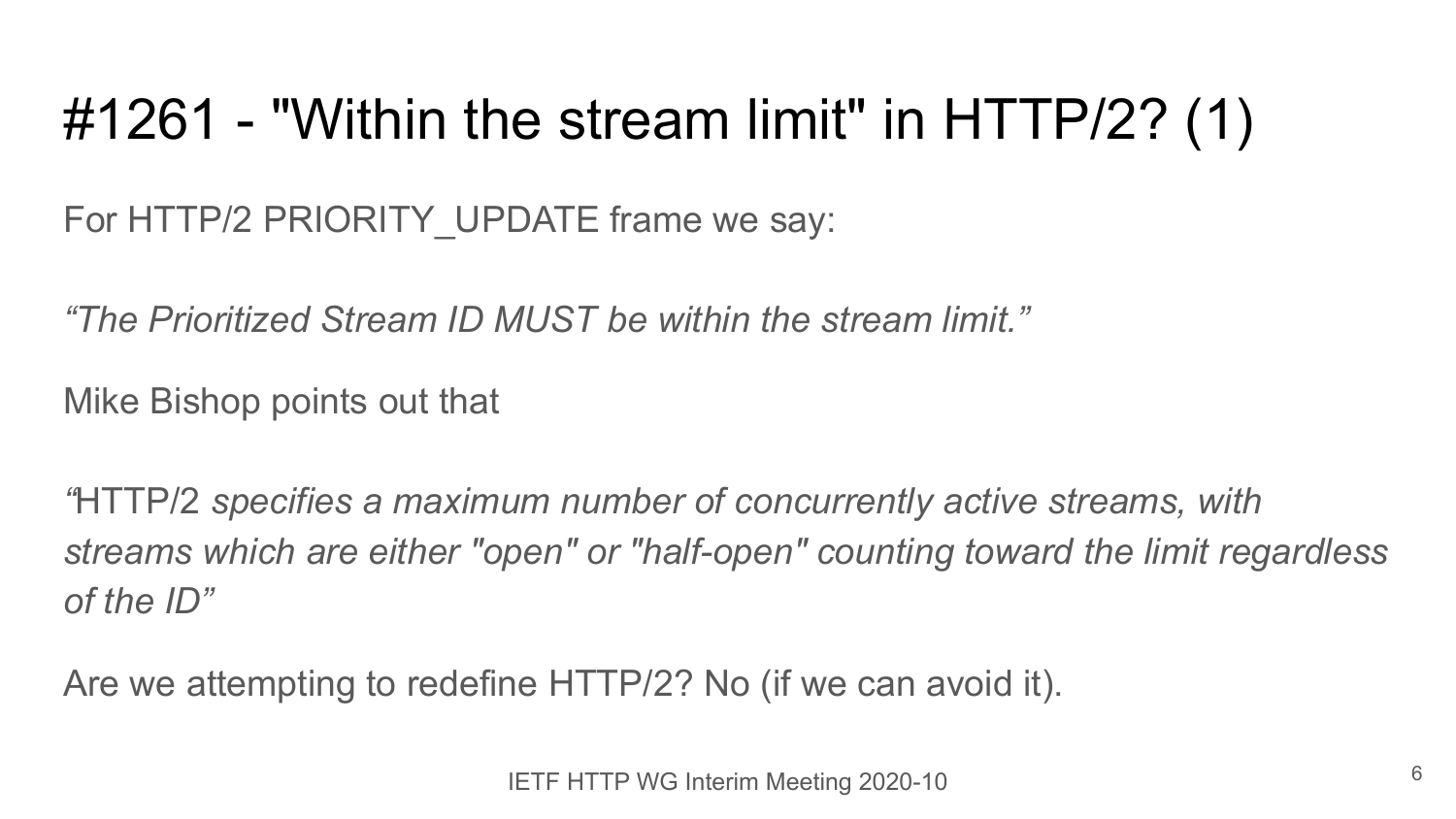#### #1261 - "Within the stream limit" in HTTP/2? (1)

For HTTP/2 PRIORITY UPDATE frame we say:

*"The Prioritized Stream ID MUST be within the stream limit."*

Mike Bishop points out that

*"*HTTP/2 *specifies a maximum number of concurrently active streams, with streams which are either "open" or "half-open" counting toward the limit regardless of the ID"*

Are we attempting to redefine HTTP/2? No (if we can avoid it).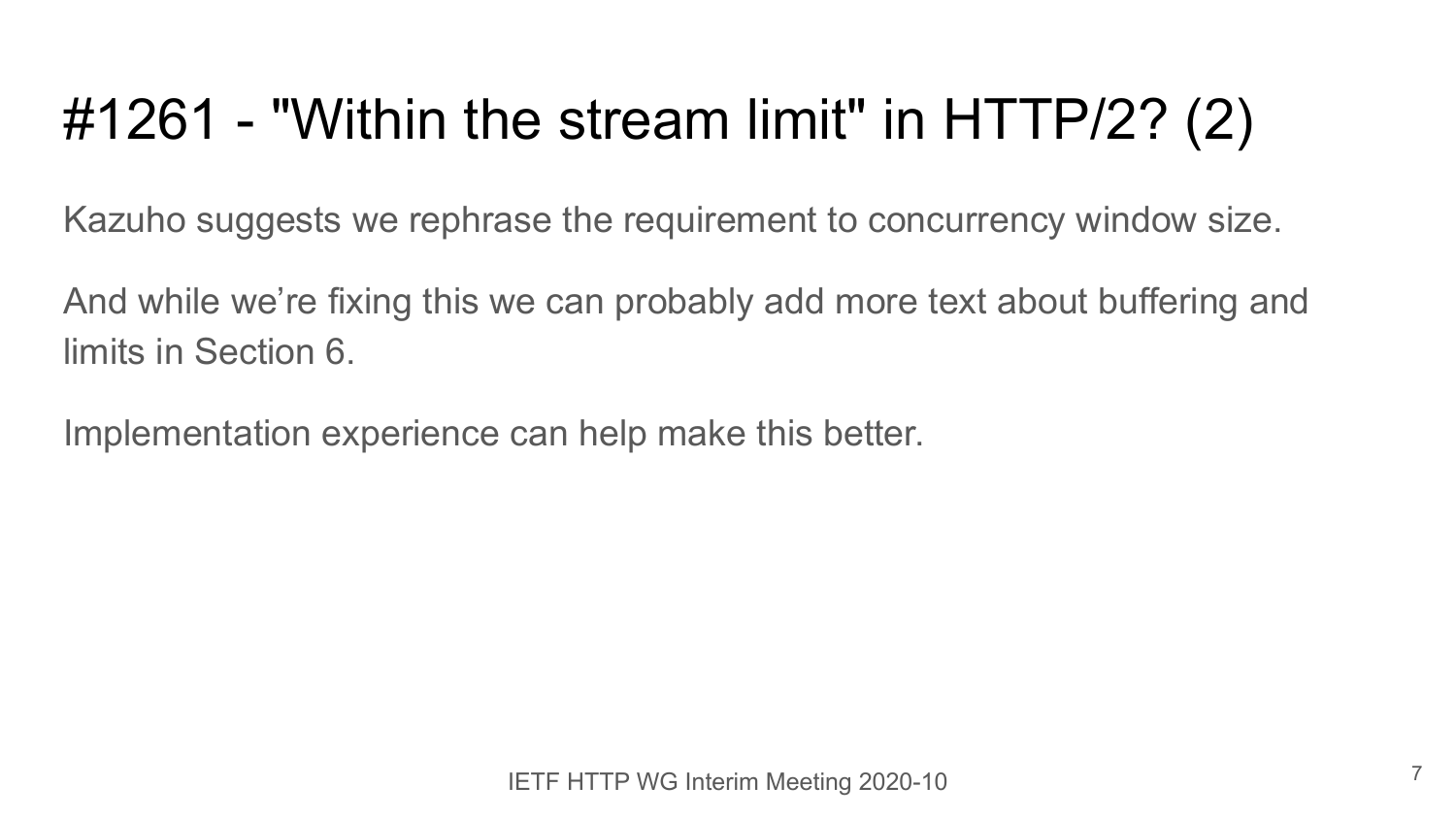#### #1261 - "Within the stream limit" in HTTP/2? (2)

Kazuho suggests we rephrase the requirement to concurrency window size.

And while we're fixing this we can probably add more text about buffering and limits in Section 6.

Implementation experience can help make this better.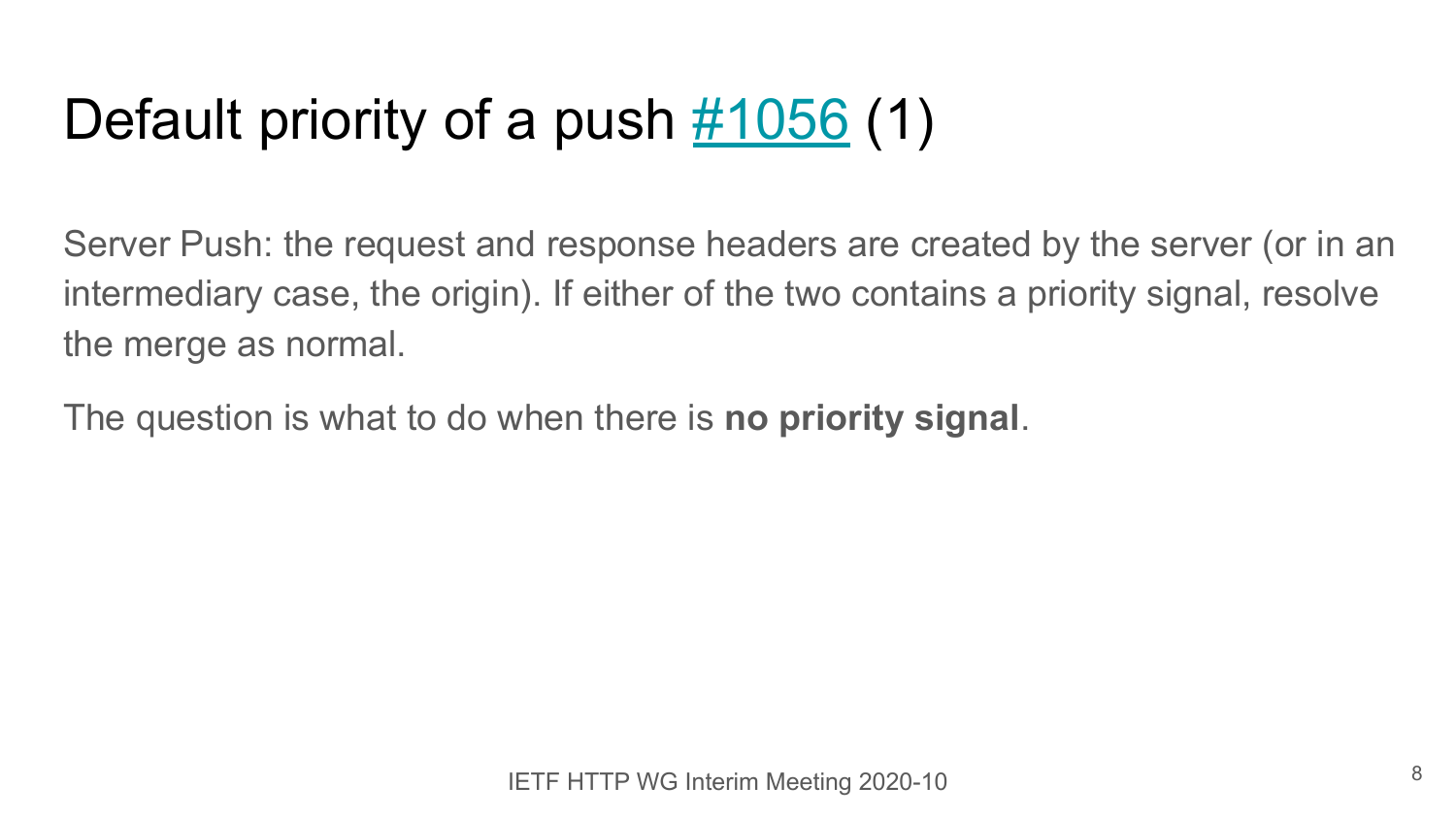#### Default priority of a push  $\frac{\#1056}{\#1056}$  $\frac{\#1056}{\#1056}$  $\frac{\#1056}{\#1056}$  (1)

Server Push: the request and response headers are created by the server (or in an intermediary case, the origin). If either of the two contains a priority signal, resolve the merge as normal.

The question is what to do when there is **no priority signal**.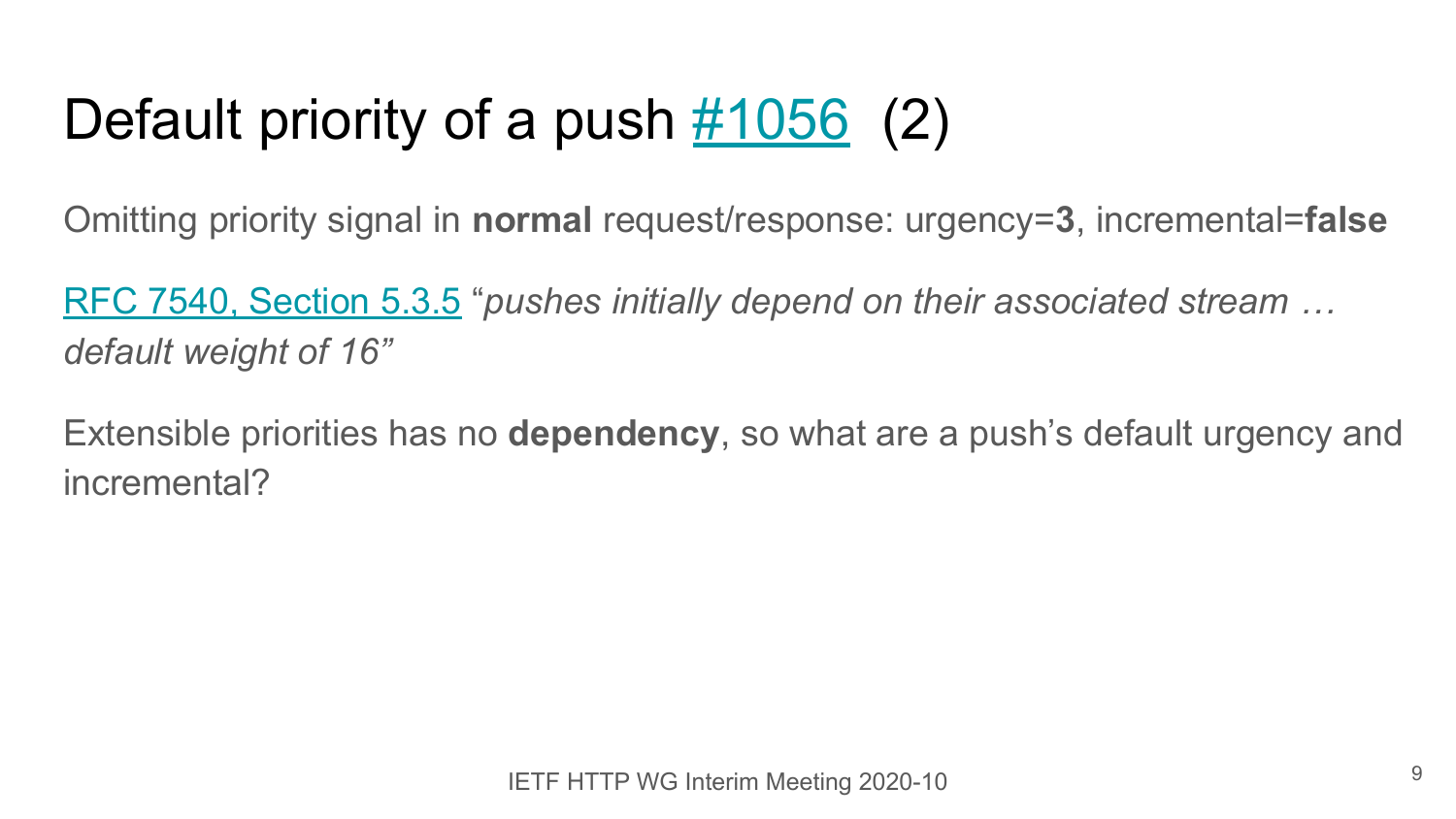### Default priority of a push  $\frac{\#1056}{\#1056}$  $\frac{\#1056}{\#1056}$  $\frac{\#1056}{\#1056}$  (2)

Omitting priority signal in **normal** request/response: urgency=**3**, incremental=**false**

[RFC 7540, Section 5.3.5](https://tools.ietf.org/html/rfc7540#section-5.3.5) "*pushes initially depend on their associated stream … default weight of 16"*

Extensible priorities has no **dependency**, so what are a push's default urgency and incremental?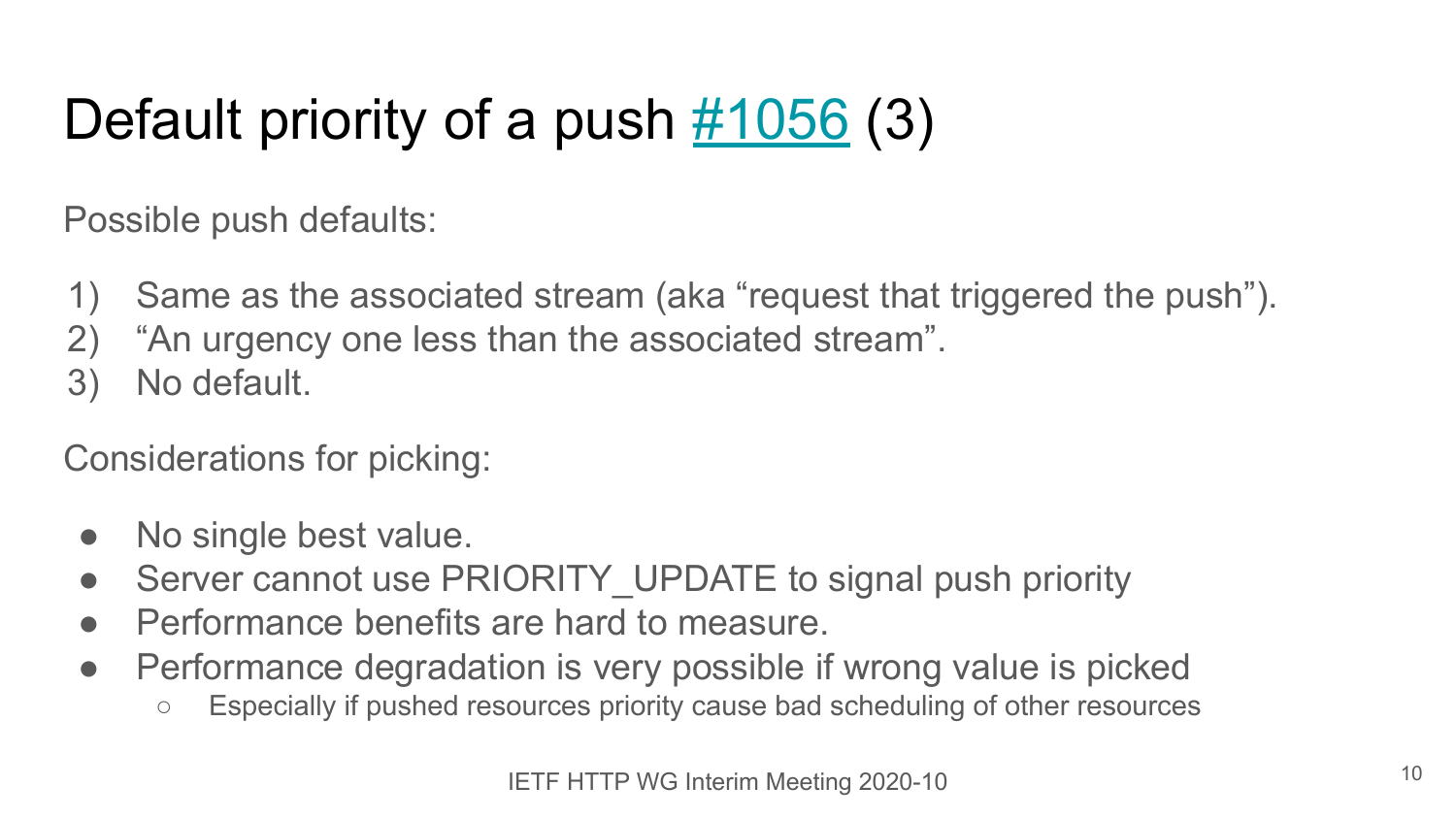### Default priority of a push  $\frac{\#1056}{\#1056}$  $\frac{\#1056}{\#1056}$  $\frac{\#1056}{\#1056}$  (3)

Possible push defaults:

- 1) Same as the associated stream (aka "request that triggered the push").
- 2) "An urgency one less than the associated stream".
- 3) No default.

Considerations for picking:

- No single best value.
- Server cannot use PRIORITY UPDATE to signal push priority
- Performance benefits are hard to measure.
- Performance degradation is very possible if wrong value is picked
	- Especially if pushed resources priority cause bad scheduling of other resources